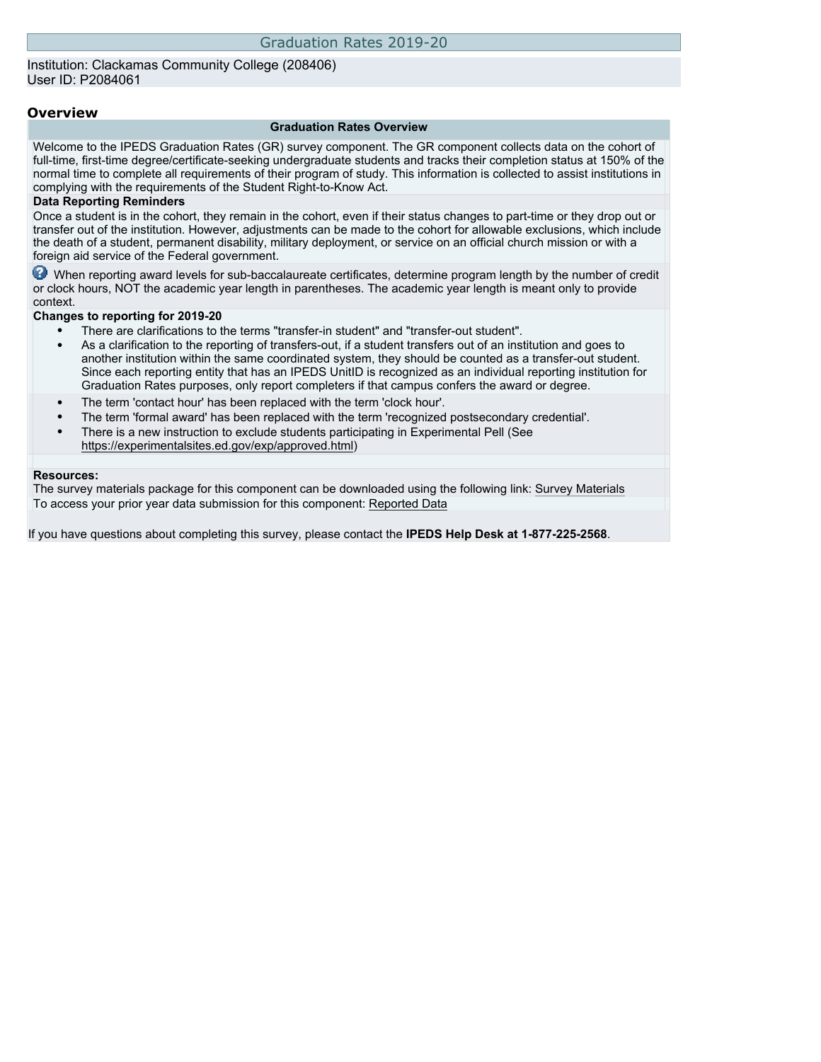## Institution: Clackamas Community College (208406) User ID: P2084061

## **Overview**

#### **Graduation Rates Overview**

Welcome to the IPEDS Graduation Rates (GR) survey component. The GR component collects data on the cohort of full-time, first-time degree/certificate-seeking undergraduate students and tracks their completion status at 150% of the normal time to complete all requirements of their program of study. This information is collected to assist institutions in complying with the requirements of the Student Right-to-Know Act.

### **Data Reporting Reminders**

Once a student is in the cohort, they remain in the cohort, even if their status changes to part-time or they drop out or transfer out of the institution. However, adjustments can be made to the cohort for allowable exclusions, which include the death of a student, permanent disability, military deployment, or service on an official church mission or with a foreign aid service of the Federal government.

When reporting award levels for sub-baccalaureate certificates, determine program length by the number of credit or clock hours, NOT the academic year length in parentheses. The academic year length is meant only to provide context.

### **Changes to reporting for 2019-20**

- There are clarifications to the terms "transfer-in student" and "transfer-out student".
- As a clarification to the reporting of transfers-out, if a student transfers out of an institution and goes to another institution within the same coordinated system, they should be counted as a transfer-out student. Since each reporting entity that has an IPEDS UnitID is recognized as an individual reporting institution for Graduation Rates purposes, only report completers if that campus confers the award or degree.
- The term 'contact hour' has been replaced with the term 'clock hour'.
- The term 'formal award' has been replaced with the term 'recognized postsecondary credential'.
- There is a new instruction to exclude students participating in Experimental Pell (See [https://experimentalsites.ed.gov/exp/approved.html\)](https://experimentalsites.ed.gov/exp/approved.html)

#### **Resources:**

The survey materials package for this component can be downloaded using the following link: [Survey Materials](https://surveys.nces.ed.gov/ipeds/VisIndex.aspx) To access your prior year data submission for this component: [Reported Data](http://192.168.102.89/ipeds/PriorYearDataRedirect.aspx?survey_id=4)

If you have questions about completing this survey, please contact the **IPEDS Help Desk at 1-877-225-2568**.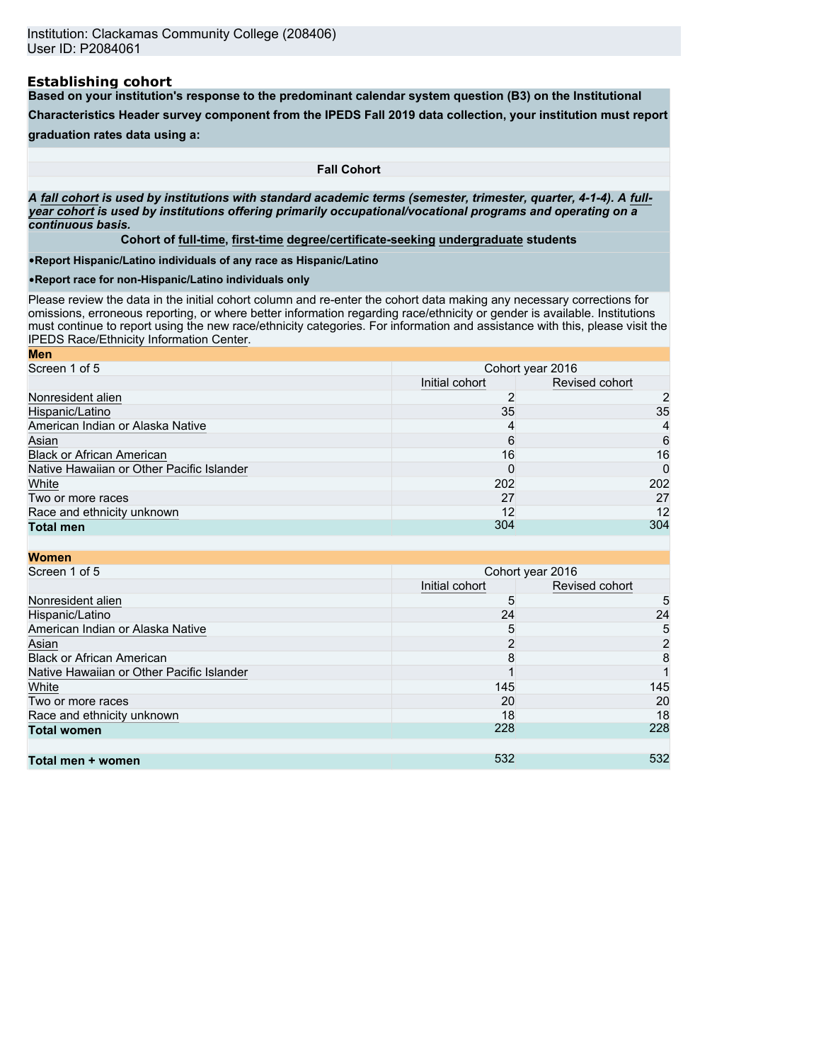### **Establishing cohort**

**Based on your institution's response to the predominant calendar system question (B3) on the Institutional**

**Characteristics Header survey component from the IPEDS Fall 2019 data collection, your institution must report**

**graduation rates data using a:**

**Fall Cohort**

*A* **fall cohort** *is used by institutions with standard academic terms (semester, trimester, quarter, 4-1-4). A* **fullyear cohort** *is used by institutions offering primarily occupational/vocational programs and operating on a continuous basis.*

**Cohort of full-time, first-time degree/certificate-seeking undergraduate students**

•**Report Hispanic/Latino individuals of any race as Hispanic/Latino**

•**Report race for non-Hispanic/Latino individuals only**

Please review the data in the initial cohort column and re-enter the cohort data making any necessary corrections for omissions, erroneous reporting, or where better information regarding race/ethnicity or gender is available. Institutions must continue to report using the new race/ethnicity categories. For information and assistance with this, please visit the [IPEDS Race/Ethnicity Information Center.](https://nces.ed.gov/ipeds/report-your-data/resource-center-race-ethnicity)

| <b>Men</b>                                |                  |                |  |
|-------------------------------------------|------------------|----------------|--|
| Screen 1 of 5                             | Cohort year 2016 |                |  |
|                                           | Initial cohort   | Revised cohort |  |
| Nonresident alien                         |                  | 2              |  |
| Hispanic/Latino                           | 35               | 35             |  |
| American Indian or Alaska Native          | 4                | 4              |  |
| Asian                                     | 6                | 6              |  |
| <b>Black or African American</b>          | 16               | 16             |  |
| Native Hawaiian or Other Pacific Islander |                  | 0              |  |
| White                                     | 202              | 202            |  |
| Two or more races                         | 27               | 27             |  |
| Race and ethnicity unknown                | 12               | 12             |  |
| <b>Total men</b>                          | 304              | 304            |  |

| <b>Women</b>                              |                |                  |
|-------------------------------------------|----------------|------------------|
| Screen 1 of 5                             |                | Cohort year 2016 |
|                                           | Initial cohort | Revised cohort   |
| Nonresident alien                         | 5              | 5                |
| Hispanic/Latino                           | 24             | 24               |
| American Indian or Alaska Native          | 5              | 5                |
| Asian                                     | າ              | $\overline{2}$   |
| <b>Black or African American</b>          | 8              | 8                |
| Native Hawaiian or Other Pacific Islander |                |                  |
| White                                     | 145            | 145              |
| Two or more races                         | 20             | 20               |
| Race and ethnicity unknown                | 18             | 18               |
| <b>Total women</b>                        | 228            | 228              |
|                                           |                |                  |
| Total men + women                         | 532            | 532              |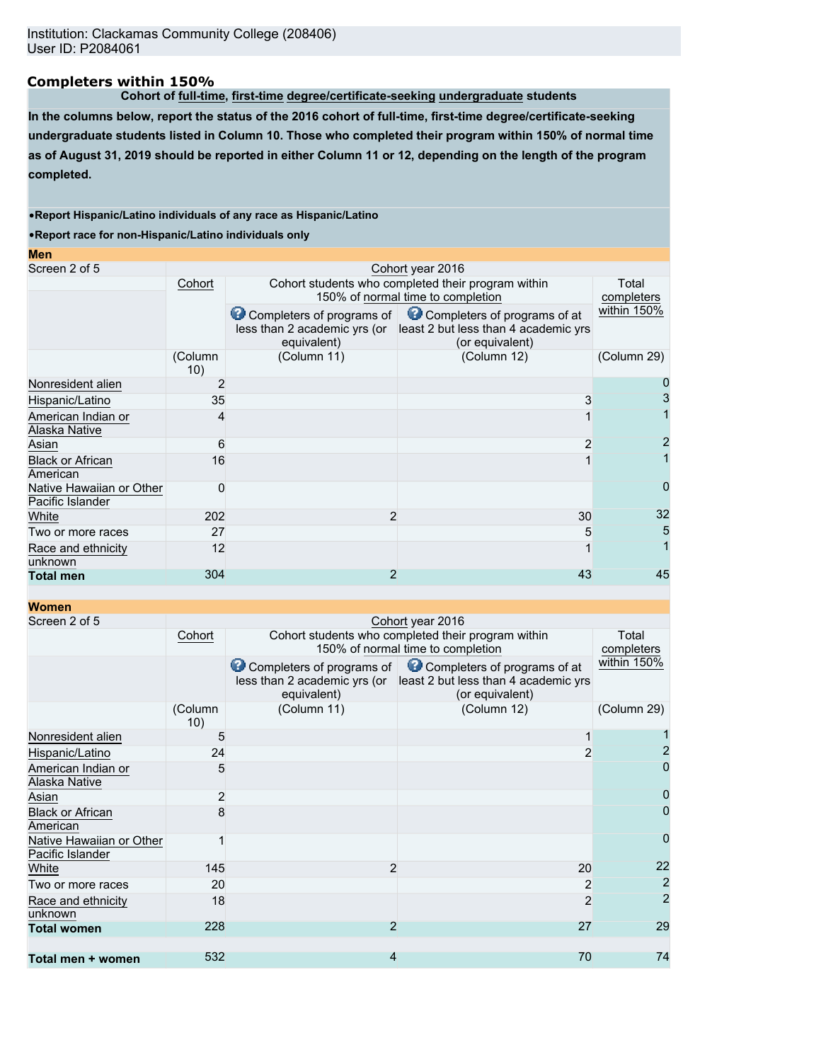# **Completers within 150%**

**Cohort of full-time, first-time degree/certificate-seeking undergraduate students**

**In the columns below, report the status of the 2016 cohort of full-time, first-time degree/certificate-seeking undergraduate students listed in Column 10. Those who completed their program within 150% of normal time as of August 31, 2019 should be reported in either Column 11 or 12, depending on the length of the program completed.**

### •**Report Hispanic/Latino individuals of any race as Hispanic/Latino**

•**Report race for non-Hispanic/Latino individuals only**

| <b>Men</b>                                   |                |                                                                                         |                                                                                                                                                |              |
|----------------------------------------------|----------------|-----------------------------------------------------------------------------------------|------------------------------------------------------------------------------------------------------------------------------------------------|--------------|
| Screen 2 of 5                                |                |                                                                                         | Cohort year 2016                                                                                                                               |              |
|                                              | Cohort         | Cohort students who completed their program within<br>150% of normal time to completion | Total<br>completers                                                                                                                            |              |
|                                              |                | equivalent)                                                                             | Completers of programs of Completers of programs of at<br>less than 2 academic yrs (or least 2 but less than 4 academic yrs<br>(or equivalent) | within 150%  |
|                                              | (Column<br>10) | (Column 11)                                                                             | (Column 12)                                                                                                                                    | (Column 29)  |
| Nonresident alien                            | 2              |                                                                                         |                                                                                                                                                |              |
| Hispanic/Latino                              | 35             |                                                                                         | 3                                                                                                                                              |              |
| American Indian or<br>Alaska Native          | 4              |                                                                                         |                                                                                                                                                |              |
| Asian                                        | 6              |                                                                                         |                                                                                                                                                |              |
| <b>Black or African</b><br>American          | 16             |                                                                                         |                                                                                                                                                |              |
| Native Hawaiian or Other<br>Pacific Islander | 0              |                                                                                         |                                                                                                                                                | $\mathbf{I}$ |
| White                                        | 202            | $\overline{2}$                                                                          | 30                                                                                                                                             | 32           |
| Two or more races                            | 27             |                                                                                         | 5                                                                                                                                              | 5            |
| Race and ethnicity<br>unknown                | 12             |                                                                                         |                                                                                                                                                |              |
| <b>Total men</b>                             | 304            | 2                                                                                       | 43                                                                                                                                             | 45           |

## **Women**

| Screen 2 of 5                                |                | Cohort year 2016                                                         |                                                                                         |                           |  |  |
|----------------------------------------------|----------------|--------------------------------------------------------------------------|-----------------------------------------------------------------------------------------|---------------------------|--|--|
|                                              | Cohort         |                                                                          | Cohort students who completed their program within<br>150% of normal time to completion |                           |  |  |
|                                              |                |                                                                          |                                                                                         | completers<br>within 150% |  |  |
|                                              |                | Completers of programs of<br>less than 2 academic yrs (or<br>equivalent) | Completers of programs of at<br>least 2 but less than 4 academic yrs<br>(or equivalent) |                           |  |  |
|                                              | (Column<br>10) | (Column 11)                                                              | (Column 12)                                                                             | (Column 29)               |  |  |
| Nonresident alien                            | 5              |                                                                          |                                                                                         |                           |  |  |
| Hispanic/Latino                              | 24             |                                                                          |                                                                                         |                           |  |  |
| American Indian or<br>Alaska Native          | 5              |                                                                          |                                                                                         |                           |  |  |
| Asian                                        | 2              |                                                                          |                                                                                         |                           |  |  |
| <b>Black or African</b><br>American          | 8              |                                                                          |                                                                                         | 0                         |  |  |
| Native Hawaiian or Other<br>Pacific Islander |                |                                                                          |                                                                                         | 0                         |  |  |
| White                                        | 145            | $\overline{2}$                                                           | 20                                                                                      | 22                        |  |  |
| Two or more races                            | 20             |                                                                          | 2                                                                                       | $\overline{2}$            |  |  |
| Race and ethnicity<br>unknown                | 18             |                                                                          | $\overline{2}$                                                                          | $\overline{2}$            |  |  |
| <b>Total women</b>                           | 228            | $\overline{2}$                                                           | 27                                                                                      | 29                        |  |  |
| Total men + women                            | 532            | $\overline{4}$                                                           | 70                                                                                      | 74                        |  |  |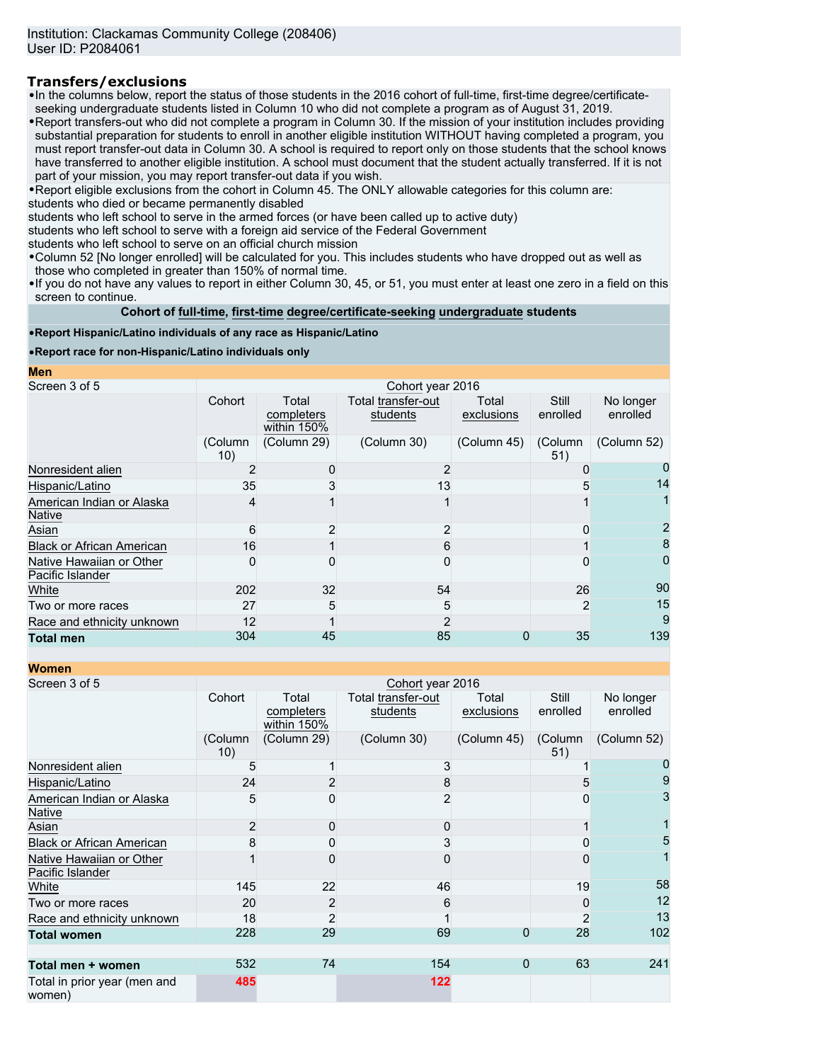# **Transfers/exclusions**

•In the columns below, report the status of those students in the 2016 cohort of full-time, first-time degree/certificateseeking undergraduate students listed in Column 10 who did not complete a program as of August 31, 2019.

•Report transfers-out who did not complete a program in Column 30. If the mission of your institution includes providing substantial preparation for students to enroll in another eligible institution WITHOUT having completed a program, you must report transfer-out data in Column 30. A school is required to report only on those students that the school knows have transferred to another eligible institution. A school must document that the student actually transferred. If it is not part of your mission, you may report transfer-out data if you wish.

•Report eligible exclusions from the cohort in Column 45. The ONLY allowable categories for this column are: students who died or became permanently disabled

students who left school to serve in the armed forces (or have been called up to active duty)

students who left school to serve with a foreign aid service of the Federal Government

students who left school to serve on an official church mission

•Column 52 [No longer enrolled] will be calculated for you. This includes students who have dropped out as well as those who completed in greater than 150% of normal time.

•If you do not have any values to report in either Column 30, 45, or 51, you must enter at least one zero in a field on this screen to continue.

**Cohort of full-time, first-time degree/certificate-seeking undergraduate students**

### •**Report Hispanic/Latino individuals of any race as Hispanic/Latino**

•**Report race for non-Hispanic/Latino individuals only**

**Men**

| Screen 3 of 5                                |                |                                    | Cohort year 2016               |                     |                   |                       |
|----------------------------------------------|----------------|------------------------------------|--------------------------------|---------------------|-------------------|-----------------------|
|                                              | Cohort         | Total<br>completers<br>within 150% | Total transfer-out<br>students | Total<br>exclusions | Still<br>enrolled | No longer<br>enrolled |
|                                              | (Column<br>10) | (Column 29)                        | (Column 30)                    | (Column 45)         | (Column<br>51)    | (Column 52)           |
| Nonresident alien                            |                |                                    |                                |                     |                   |                       |
| Hispanic/Latino                              | 35             |                                    | 13                             |                     |                   | 14                    |
| American Indian or Alaska<br><b>Native</b>   |                |                                    |                                |                     |                   |                       |
| Asian                                        | 6              |                                    | 2                              |                     |                   |                       |
| <b>Black or African American</b>             | 16             |                                    | 6                              |                     |                   | 8                     |
| Native Hawaiian or Other<br>Pacific Islander | O              |                                    |                                |                     |                   |                       |
| White                                        | 202            | 32                                 | 54                             |                     | 26                | 90                    |
| Two or more races                            | 27             | 5                                  | 5                              |                     | 2                 | 15                    |
| Race and ethnicity unknown                   | 12             |                                    |                                |                     |                   | 9                     |
| <b>Total men</b>                             | 304            | 45                                 | 85                             | O                   | 35                | 139                   |

**Women**

| <u>WUITEN</u>                                |                  |                                    |                                |                     |                   |                       |
|----------------------------------------------|------------------|------------------------------------|--------------------------------|---------------------|-------------------|-----------------------|
| Screen 3 of 5                                | Cohort year 2016 |                                    |                                |                     |                   |                       |
|                                              | Cohort           | Total<br>completers<br>within 150% | Total transfer-out<br>students | Total<br>exclusions | Still<br>enrolled | No longer<br>enrolled |
|                                              | (Column<br>10)   | (Column 29)                        | (Column 30)                    | (Column 45)         | (Column<br>51)    | (Column 52)           |
| Nonresident alien                            | 5                |                                    |                                |                     |                   |                       |
| Hispanic/Latino                              | 24               |                                    |                                |                     | 5                 | 9                     |
| American Indian or Alaska<br><b>Native</b>   | 5                |                                    |                                |                     |                   | 3                     |
| Asian                                        | $\overline{2}$   | U                                  | O                              |                     |                   |                       |
| <b>Black or African American</b>             | 8                |                                    |                                |                     |                   | 5                     |
| Native Hawaiian or Other<br>Pacific Islander |                  |                                    |                                |                     |                   |                       |
| White                                        | 145              | 22                                 | 46                             |                     | 19                | 58                    |
| Two or more races                            | 20               | $\overline{2}$                     | 6                              |                     |                   | 12                    |
| Race and ethnicity unknown                   | 18               | $\overline{2}$                     |                                |                     | $\overline{2}$    | 13                    |
| <b>Total women</b>                           | 228              | 29                                 | 69                             | 0                   | 28                | 102                   |
| Total men + women                            | 532              | 74                                 | 154                            | $\Omega$            | 63                | 241                   |
| Total in prior year (men and<br>women)       | 485              |                                    | 122                            |                     |                   |                       |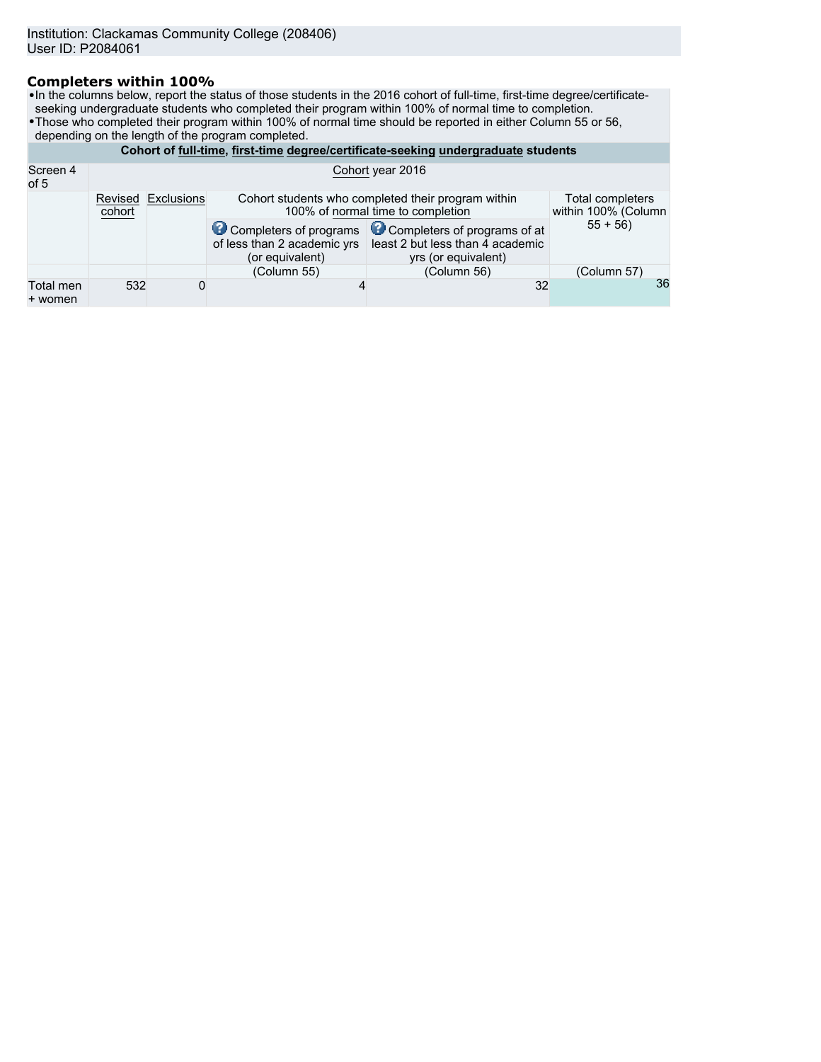# **Completers within 100%**

•In the columns below, report the status of those students in the 2016 cohort of full-time, first-time degree/certificateseeking undergraduate students who completed their program within 100% of normal time to completion.

- •Those who completed their program within 100% of normal time should be reported in either Column 55 or 56,
- depending on the length of the program completed.

|                      | Cohort of full-time, first-time degree/certificate-seeking undergraduate students |            |                                                                                                                                    |                                                                                                                |             |  |  |
|----------------------|-----------------------------------------------------------------------------------|------------|------------------------------------------------------------------------------------------------------------------------------------|----------------------------------------------------------------------------------------------------------------|-------------|--|--|
| Screen 4<br>of 5     | Cohort year 2016                                                                  |            |                                                                                                                                    |                                                                                                                |             |  |  |
|                      | Revised<br>cohort                                                                 | Exclusions | Cohort students who completed their program within<br>Total completers<br>100% of normal time to completion<br>within 100% (Column |                                                                                                                |             |  |  |
|                      |                                                                                   |            | of less than 2 academic yrs<br>(or equivalent)                                                                                     | Completers of programs Completers of programs of at<br>least 2 but less than 4 academic<br>yrs (or equivalent) | $55 + 56$   |  |  |
|                      |                                                                                   |            | (Column 55)                                                                                                                        | (Column 56)                                                                                                    | (Column 57) |  |  |
| Total men<br>+ women | 532                                                                               | 0          |                                                                                                                                    | 32                                                                                                             | 36          |  |  |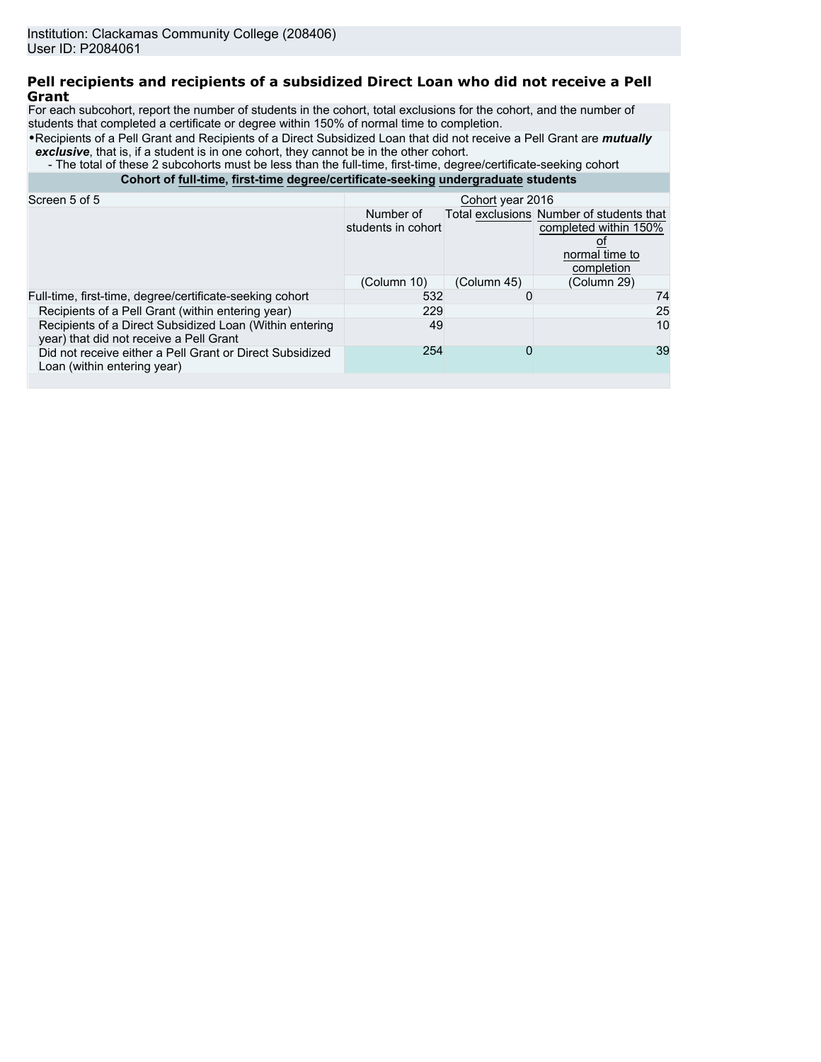## **Pell recipients and recipients of a subsidized Direct Loan who did not receive a Pell Grant**

For each subcohort, report the number of students in the cohort, total exclusions for the cohort, and the number of students that completed a certificate or degree within 150% of normal time to completion.

•Recipients of a Pell Grant and Recipients of a Direct Subsidized Loan that did not receive a Pell Grant are *mutually* **exclusive**, that is, if a student is in one cohort, they cannot be in the other cohort.

- The total of these 2 subcohorts must be less than the full-time, first-time, degree/certificate-seeking cohort

**Cohort of full-time, first-time degree/certificate-seeking undergraduate students**

| Screen 5 of 5                                                                                      | Cohort year 2016                |             |                                                                                                   |  |  |
|----------------------------------------------------------------------------------------------------|---------------------------------|-------------|---------------------------------------------------------------------------------------------------|--|--|
|                                                                                                    | Number of<br>students in cohort |             | Total exclusions Number of students that<br>completed within 150%<br>normal time to<br>completion |  |  |
|                                                                                                    | (Column 10)                     | (Column 45) | (Column 29)                                                                                       |  |  |
| Full-time, first-time, degree/certificate-seeking cohort                                           | 532                             |             | 74                                                                                                |  |  |
| Recipients of a Pell Grant (within entering year)                                                  | 229                             |             | 25                                                                                                |  |  |
| Recipients of a Direct Subsidized Loan (Within entering<br>year) that did not receive a Pell Grant | 49                              |             | 10                                                                                                |  |  |
| Did not receive either a Pell Grant or Direct Subsidized<br>Loan (within entering year)            | 254                             | 0           | 39                                                                                                |  |  |
|                                                                                                    |                                 |             |                                                                                                   |  |  |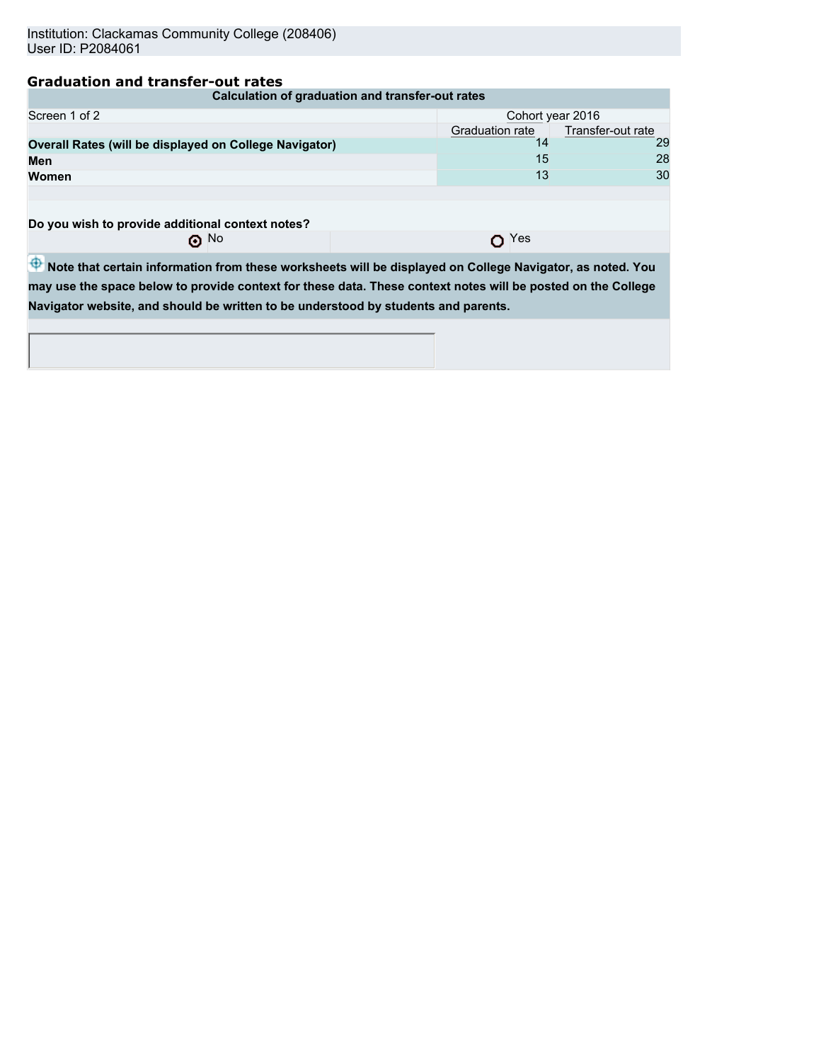# **Graduation and transfer-out rates**

| Calculation of graduation and transfer-out rates       |                                      |    |  |  |  |  |
|--------------------------------------------------------|--------------------------------------|----|--|--|--|--|
| Screen 1 of 2<br>Cohort year 2016                      |                                      |    |  |  |  |  |
|                                                        | Transfer-out rate<br>Graduation rate |    |  |  |  |  |
| Overall Rates (will be displayed on College Navigator) |                                      | 29 |  |  |  |  |
| Men                                                    | 15                                   | 28 |  |  |  |  |
| <b>Women</b>                                           | 13                                   | 30 |  |  |  |  |
|                                                        |                                      |    |  |  |  |  |
|                                                        |                                      |    |  |  |  |  |

**Do you wish to provide additional context notes?**<br>○ No

O<sub>Yes</sub>

 $\overline{\Phi}$  Note that certain information from these worksheets will be displayed on College Navigator, as noted. You **may use the space below to provide context for these data. These context notes will be posted on the College Navigator website, and should be written to be understood by students and parents.**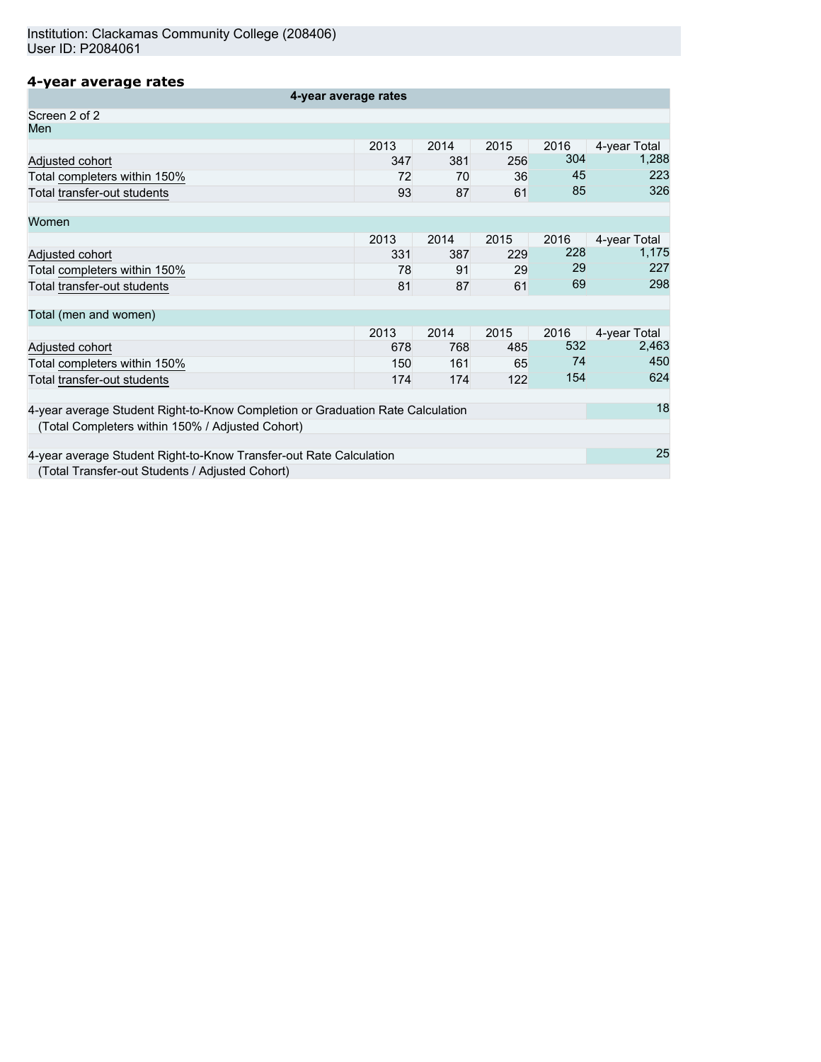# **4-year average rates**

| 4-year average rates                                                           |      |      |      |      |              |
|--------------------------------------------------------------------------------|------|------|------|------|--------------|
| Screen 2 of 2                                                                  |      |      |      |      |              |
| Men                                                                            |      |      |      |      |              |
|                                                                                | 2013 | 2014 | 2015 | 2016 | 4-year Total |
| Adjusted cohort                                                                | 347  | 381  | 256  | 304  | 1,288        |
| Total completers within 150%                                                   | 72   | 70   | 36   | 45   | 223          |
| Total transfer-out students                                                    | 93   | 87   | 61   | 85   | 326          |
| Women                                                                          |      |      |      |      |              |
|                                                                                | 2013 | 2014 | 2015 | 2016 | 4-year Total |
| Adjusted cohort                                                                | 331  | 387  | 229  | 228  | 1,175        |
| Total completers within 150%                                                   | 78   | 91   | 29   | 29   | 227          |
| Total transfer-out students                                                    | 81   | 87   | 61   | 69   | 298          |
| Total (men and women)                                                          |      |      |      |      |              |
|                                                                                | 2013 | 2014 | 2015 | 2016 | 4-year Total |
| Adjusted cohort                                                                | 678  | 768  | 485  | 532  | 2,463        |
| Total completers within 150%                                                   | 150  | 161  | 65   | 74   | 450          |
| Total transfer-out students                                                    | 174  | 174  | 122  | 154  | 624          |
| 4-year average Student Right-to-Know Completion or Graduation Rate Calculation |      |      |      |      |              |
| (Total Completers within 150% / Adjusted Cohort)                               |      |      |      |      |              |
|                                                                                |      |      |      |      |              |
| 4-year average Student Right-to-Know Transfer-out Rate Calculation             |      |      |      |      | 25           |
| (Total Transfer-out Students / Adjusted Cohort)                                |      |      |      |      |              |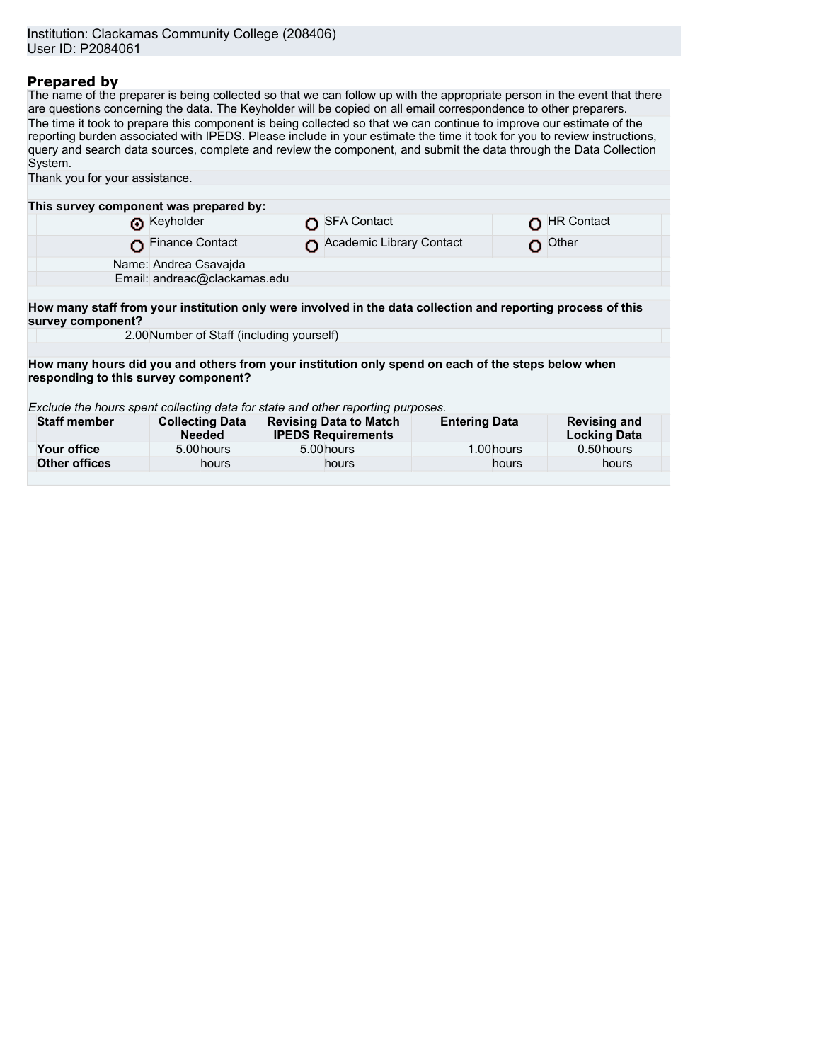# **Prepared by**

The name of the preparer is being collected so that we can follow up with the appropriate person in the event that there are questions concerning the data. The Keyholder will be copied on all email correspondence to other preparers. The time it took to prepare this component is being collected so that we can continue to improve our estimate of the reporting burden associated with IPEDS. Please include in your estimate the time it took for you to review instructions, query and search data sources, complete and review the component, and submit the data through the Data Collection System. Thank you for your assistance.

| This survey component was prepared by:                                                                                            |                                                                                                                                            |  |                                                            |                      |            |                                            |
|-----------------------------------------------------------------------------------------------------------------------------------|--------------------------------------------------------------------------------------------------------------------------------------------|--|------------------------------------------------------------|----------------------|------------|--------------------------------------------|
|                                                                                                                                   | Reyholder                                                                                                                                  |  | <b>SFA Contact</b>                                         |                      | O          | <b>HR Contact</b>                          |
|                                                                                                                                   | <b>Finance Contact</b>                                                                                                                     |  | Academic Library Contact                                   |                      |            | Other                                      |
|                                                                                                                                   | Name: Andrea Csavajda                                                                                                                      |  |                                                            |                      |            |                                            |
|                                                                                                                                   | Email: andreac@clackamas.edu                                                                                                               |  |                                                            |                      |            |                                            |
|                                                                                                                                   |                                                                                                                                            |  |                                                            |                      |            |                                            |
| How many staff from your institution only were involved in the data collection and reporting process of this<br>survey component? |                                                                                                                                            |  |                                                            |                      |            |                                            |
|                                                                                                                                   | 2.00 Number of Staff (including yourself)                                                                                                  |  |                                                            |                      |            |                                            |
|                                                                                                                                   |                                                                                                                                            |  |                                                            |                      |            |                                            |
|                                                                                                                                   | How many hours did you and others from your institution only spend on each of the steps below when<br>responding to this survey component? |  |                                                            |                      |            |                                            |
| Exclude the hours spent collecting data for state and other reporting purposes.                                                   |                                                                                                                                            |  |                                                            |                      |            |                                            |
| <b>Staff member</b>                                                                                                               | <b>Collecting Data</b><br><b>Needed</b>                                                                                                    |  | <b>Revising Data to Match</b><br><b>IPEDS Requirements</b> | <b>Entering Data</b> |            | <b>Revising and</b><br><b>Locking Data</b> |
| Your office                                                                                                                       | 5.00 hours                                                                                                                                 |  | 5.00 hours                                                 |                      | 1.00 hours | 0.50 hours                                 |
| <b>Other offices</b>                                                                                                              | hours                                                                                                                                      |  | hours                                                      |                      | hours      | hours                                      |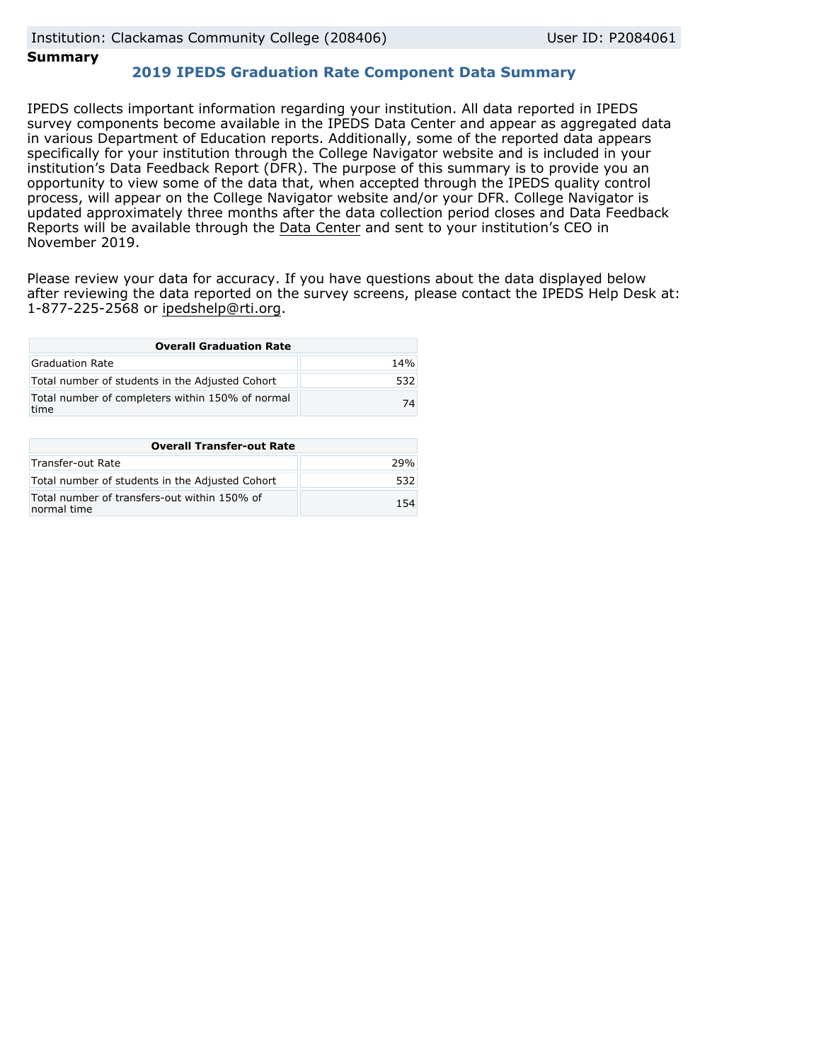# **Summary**

# **2019 IPEDS Graduation Rate Component Data Summary**

IPEDS collects important information regarding your institution. All data reported in IPEDS survey components become available in the IPEDS Data Center and appear as aggregated data in various Department of Education reports. Additionally, some of the reported data appears specifically for your institution through the College Navigator website and is included in your institution's Data Feedback Report (DFR). The purpose of this summary is to provide you an opportunity to view some of the data that, when accepted through the IPEDS quality control process, will appear on the College Navigator website and/or your DFR. College Navigator is updated approximately three months after the data collection period closes and Data Feedback Reports will be available through the [Data Center](https://nces.ed.gov/ipeds/use-the-data) and sent to your institution's CEO in November 2019.

Please review your data for accuracy. If you have questions about the data displayed below after reviewing the data reported on the survey screens, please contact the IPEDS Help Desk at: 1-877-225-2568 or ipedshelp@rti.org.

| <b>Overall Graduation Rate</b>                           |     |  |  |  |  |
|----------------------------------------------------------|-----|--|--|--|--|
| Graduation Rate                                          | 14% |  |  |  |  |
| Total number of students in the Adjusted Cohort          | 532 |  |  |  |  |
| Total number of completers within 150% of normal<br>time | 74  |  |  |  |  |

| <b>Overall Transfer-out Rate</b>                            |     |
|-------------------------------------------------------------|-----|
| Transfer-out Rate                                           | 29% |
| Total number of students in the Adjusted Cohort             | 532 |
| Total number of transfers-out within 150% of<br>normal time | 154 |